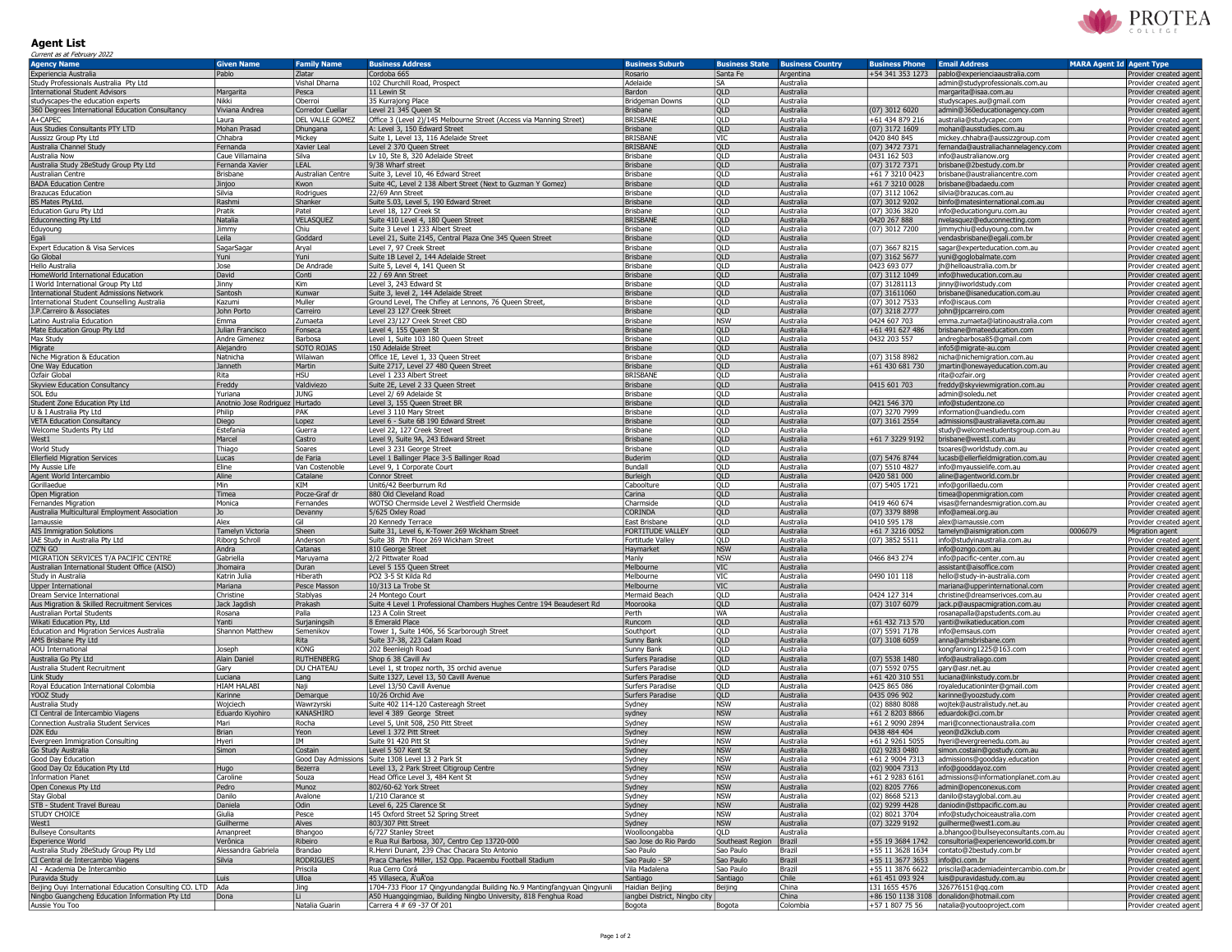## PROTEA

## Agent List

| Current as at February 2022                                             |                                |                            |                                                                                              |                                         |                          |                         |                                      |                                                                        |                                 |                                                  |
|-------------------------------------------------------------------------|--------------------------------|----------------------------|----------------------------------------------------------------------------------------------|-----------------------------------------|--------------------------|-------------------------|--------------------------------------|------------------------------------------------------------------------|---------------------------------|--------------------------------------------------|
| <b>Agency Name</b>                                                      | <b>Given Name</b>              | <b>Family Name</b>         | <b>Business Address</b>                                                                      | <b>Business Suburb</b>                  | <b>Business State</b>    | <b>Business Country</b> | <b>Business Phone</b>                | <b>Email Address</b>                                                   | <b>MARA Agent Id Agent Type</b> |                                                  |
| Experiencia Australia                                                   | Pablo                          | Zlatar                     | Cordoba 665                                                                                  | Rosario                                 | Santa Fe                 | Argentina               | +54 341 353 1273                     | pablo@experienciaaustralia.com                                         |                                 | Provider created agent                           |
| Study Professionals Australia Pty Ltd                                   |                                | Vishal Dharna              | 102 Churchill Road, Prospect                                                                 | Adelaide                                | SA                       | Australia               |                                      | admin@studyprofessionals.com.au                                        |                                 | Provider created agent                           |
| <b>International Student Advisors</b>                                   | Margarita                      | Pesca                      | 11 Lewin St                                                                                  | Bardon                                  | <b>QLD</b>               | Australia               |                                      | margarita@isaa.com.au                                                  |                                 | Provider created agent                           |
| studyscapes-the education experts                                       | Nikki                          | Oberroi                    | 35 Kurrajong Place                                                                           | <b>Bridgeman Downs</b>                  | QLD                      | Australia               |                                      | studyscapes.au@gmail.com                                               |                                 | Provider created agent                           |
| 360 Degrees International Education Consultancy                         | Viviana Andrea                 | Corredor Cuellar           | Level 21 345 Queen St                                                                        | <b>Brisbane</b>                         | QLD                      | Australia               | $(07)$ 3012 6020                     | admin@360educationagency.com                                           |                                 | Provider created agent                           |
| A+CAPEC                                                                 | Laura                          | DEL VALLE GOMEZ            | Office 3 (Level 2)/145 Melbourne Street (Access via Manning Street)                          | <b>BRISBANE</b>                         | QLD                      | Australia               | +61 434 879 216                      | australia@studycapec.com                                               |                                 | Provider created agent                           |
| Aus Studies Consultants PTY LTD                                         | Mohan Prasad                   | Dhungana                   | A: Level 3, 150 Edward Street                                                                | <b>Brisbane</b><br><b>BRISBANE</b>      | QLD                      | Australia               | $(07)$ 3172 1609                     | mohan@ausstudies.com.au                                                |                                 | Provider created agent                           |
| Aussizz Group Pty Ltd<br>Australia Channel Study                        | Chhabra<br>Fernanda            | Mickey<br>Xavier Leal      | Suite 1, Level 13, 116 Adelaide Street<br>Level 2 370 Queen Street                           | <b>BRISBANE</b>                         | VIC<br><b>QLD</b>        | Australia<br>Australia  | 0420 840 845<br>(07) 3472 7371       | mickey.chhabra@aussizzgroup.com<br>fernanda@australiachannelagency.com |                                 | Provider created agent<br>Provider created agent |
| Australia Now                                                           | Caue Villamaina                | Silva                      | Lv 10, Ste 8, 320 Adelaide Street                                                            | Brisbane                                | QLD                      | Australia               | 0431 162 503                         | info@australianow.org                                                  |                                 | Provider created agent                           |
| Australia Study 2BeStudy Group Pty Ltd                                  | Fernanda Xavier                | LEAL                       | 9/38 Wharf street                                                                            | <b>Brisbane</b>                         | QLD                      | Australia               | (07) 3172 7371                       | brisbane@2bestudy.com.br                                               |                                 | Provider created agent                           |
| Australian Centre                                                       | Brisbane                       | Australian Centre          | Suite 3, Level 10, 46 Edward Street                                                          | Brisbane                                | QLD                      | Australia               | +61 7 3210 0423                      | brisbane@australiancentre.com                                          |                                 | Provider created agent                           |
| <b>BADA Education Centre</b>                                            | Jinjoo                         | Kwon                       | Suite 4C, Level 2 138 Albert Street (Next to Guzman Y Gomez)                                 | <b>Brisbane</b>                         | <b>QLD</b>               | Australia               | +61 7 3210 0028                      | brisbane@badaedu.com                                                   |                                 | Provider created agent                           |
| Brazucas Education                                                      | Silvia                         | Rodrigues                  | 22/69 Ann Street                                                                             | <b>Brisbane</b>                         | QLD                      | Australia               | (07) 3112 1062                       | silvia@brazucas.com.au                                                 |                                 | Provider created agent                           |
| BS Mates PtyLtd.                                                        | Rashmi                         | Shanker                    | Suite 5.03, Level 5, 190 Edward Street                                                       | Brisbane                                | QLD                      | Australia               | (07) 3012 9202                       | binfo@matesinternational.com.au                                        |                                 | Provider created agent                           |
| Education Guru Pty Ltd                                                  | Pratik                         | Patel                      | evel 18, 127 Creek St.                                                                       | Brisbane                                | QLD                      | Australia               | (07) 3036 3820                       | info@educationguru.com.au                                              |                                 | Provider created agent                           |
| <b>Educonnecting Pty Ltd</b>                                            | Natalia                        | VELASQUEZ                  | Suite 410 Level 4, 180 Queen Street                                                          | <b>BRISBANE</b>                         | QLD                      | Australia               | 0420 267 888                         | nvelasquez@educonnecting.com                                           |                                 | Provider created agent                           |
| Eduyoung                                                                | Jimmy                          | Chiu                       | Suite 3 Level 1 233 Albert Street                                                            | <b>Brisbane</b>                         | QLD                      | Australia               | (07) 3012 7200                       | jimmychiu@eduyoung.com.tw                                              |                                 | Provider created agent                           |
| Egali                                                                   | Leila                          | Goddard                    | evel 21, Suite 2145, Central Plaza One 345 Queen Street                                      | <b>Brisbane</b>                         | QLD                      | Australia               |                                      | vendasbrisbane@egali.com.br                                            |                                 | Provider created agent                           |
| Expert Education & Visa Services                                        | SagarSagar                     | Aryal                      | Level 7, 97 Creek Street<br>Suite 1B Level 2, 144 Adelaide Street                            | Brisbane                                | QLD<br>QLD               | Australia               | (07) 3667 8215                       | sagar@experteducation.com.au                                           |                                 | Provider created agent                           |
| Go Global<br>Hello Australia                                            | Yuni<br>Jose                   | Yuni<br>De Andrade         | Suite 5, Level 4, 141 Queen St                                                               | <b>Brisbane</b><br>Brisbane             | <b>QLD</b>               | Australia<br>Australia  | (07) 3162 5677<br>0423 693 077       | yuni@goglobalmate.com<br>jh@helloaustralia.com.bi                      |                                 | Provider created agent<br>Provider created agent |
| HomeWorld International Education                                       | David                          | Conti                      | 22 / 69 Ann Street                                                                           | Brisbane                                | QLD                      | Australia               | (07) 3112 1049                       | info@hweducation.com.au                                                |                                 | Provider created agent                           |
| I World International Group Pty Ltd                                     | Jinny                          | Kim                        | Level 3, 243 Edward St                                                                       | Brisbane                                | QLD                      | Australia               | (07) 31281113                        | jinny@iworldstudy.com                                                  |                                 | Provider created agent                           |
| <b>International Student Admissions Network</b>                         | Santosh                        | Kunwar                     | Suite 3, level 2, 144 Adelaide Street                                                        | Brisbane                                | <b>QLD</b>               | Australia               | $(07)$ 31611060                      | brisbane@isaneducation.com.au                                          |                                 | Provider created agent                           |
| <b>International Student Counselling Australia</b>                      | Kazumi                         | Muller                     | Ground Level, The Chifley at Lennons, 76 Queen Street                                        | Brisbane                                | <b>QLD</b>               | Australia               | (07) 3012 7533                       | info@iscaus.com                                                        |                                 | Provider created agen                            |
| J.P.Carreiro & Associates                                               | John Porto                     | Carreiro                   | Level 23 127 Creek Street                                                                    | <b>Brisbane</b>                         | QLD                      | Australia               | (07) 3218 2777                       | john@jpcarreiro.com                                                    |                                 | Provider created agent                           |
| Latino Australia Education                                              | Emma                           | Zumaeta                    | Level 23/127 Creek Street CBD                                                                | Brisbane                                | <b>NSW</b>               | Australia               | 0424 607 703                         | emma.zumaeta@latinoaustralia.com                                       |                                 | Provider created agent                           |
| Mate Education Group Pty Ltd                                            | Julian Francisco               | Fonseca                    | Level 4, 155 Queen St                                                                        | <b>Brisbane</b>                         | QLD                      | Australia               | +61 491 627 486                      | brisbane@mateeducation.com                                             |                                 | Provider created agent                           |
| Max Study                                                               | Andre Gimenez                  | Barbosa                    | Level 1, Suite 103 180 Queen Street                                                          | Brisbane                                | QLD                      | Australia               | 0432 203 557                         | andregbarbosa85@gmail.com                                              |                                 | Provider created agent                           |
| Migrate                                                                 | Alejandro                      | SOTO ROJAS                 | 150 Adelaide Street                                                                          | <b>Brisbane</b>                         | <b>QLD</b>               | Australia               |                                      | info5@migrate-au.com                                                   |                                 | Provider created agent                           |
| Niche Migration & Education                                             | Natnicha                       | <b>Wilaiwar</b>            | Office 1E, Level 1, 33 Queen Street                                                          | Brisbane                                | QLD                      | Australia               | (07) 3158 8982                       | nicha@nichemigration.com.au                                            |                                 | Provider created agent                           |
| One Way Education                                                       | Janneth                        | Martin                     | Suite 2717, Level 27 480 Queen Street                                                        | <b>Brisbane</b>                         | QLD                      | Australia               | +61 430 681 730                      | jmartin@onewayeducation.com.au                                         |                                 | Provider created agent                           |
| Ozfair Globa                                                            | Rita                           | HSU                        | Level 1 233 Albert Street                                                                    | <b>BRISBANE</b>                         | QLD                      | Australia               |                                      | rita@ozfair.org                                                        |                                 | Provider created agent                           |
| Skyview Education Consultancy<br>SOL Edu                                | Freddy<br>Yuriana              | Valdiviezo<br>I JUNG       | Suite 2E, Level 2 33 Queen Street<br>Level 2/ 69 Adelaide St                                 | <b>Brisbane</b><br>Brisbane             | QLD<br>QLD               | Australia<br>Australia  | 0415 601 703                         | freddy@skyviewmigration.com.au<br>admin@soledu.net                     |                                 | Provider created agent<br>Provider created agent |
| Student Zone Education Pty Ltd                                          | Anotnio Jose Rodriguez Hurtado |                            | Level 3, 155 Queen Street BR                                                                 | <b>Brisbane</b>                         | QLD                      | Australia               | 0421 546 370                         | info@studentzone.co                                                    |                                 | Provider created agent                           |
| U & I Australia Pty Ltd                                                 | Philip                         | <b>PAK</b>                 | evel 3 110 Mary Street                                                                       | Brisbane                                | QLD                      | Australia               | (07) 3270 7999                       | information@uandiedu.com                                               |                                 | Provider created agent                           |
| <b>VETA Education Consultancy</b>                                       | Diego                          | Lopez                      | evel 6 - Suite 6B 190 Edward Street                                                          | <b>Brisbane</b>                         | QLD                      | Australia               | (07) 3161 2554                       | admissions@australiaveta.com.au                                        |                                 | Provider created agent                           |
| Welcome Students Pty Ltd                                                | Estefania                      | Guerra                     | Level 22, 127 Creek Street                                                                   | Brisbane                                | QLD                      | Australia               |                                      | study@welcomestudentsgroup.com.au                                      |                                 | Provider created agent                           |
| West1                                                                   | Marcel                         | Castro                     | evel 9, Suite 9A, 243 Edward Street                                                          | Brisbane                                | <b>QLD</b>               | Australia               | +61 7 3229 9192                      | brisbane@west1.com.au                                                  |                                 | Provider created agent                           |
| World Study                                                             | Thiago                         | Soares                     | evel 3 231 George Street.                                                                    | Brisbane                                | QLD                      | Australia               |                                      | tsoares@worldstudy.com.au                                              |                                 | Provider created agent                           |
| <b>Ellerfield Migration Services</b>                                    | Lucas                          | lde Faria                  | Level 1 Ballinger Place 3-5 Ballinger Road                                                   | Buderim                                 | QLD                      | Australia               | (07) 5476 8744                       | lucasb@ellerfieldmigration.com.au                                      |                                 | Provider created agent                           |
| My Aussie Life                                                          | Eline                          | Van Costenoble             | evel 9, 1 Corporate Court                                                                    | Bundall                                 | <b>QLD</b>               | Australia               | (07) 5510 4827                       | info@myaussielife.com.au                                               |                                 | Provider created agent                           |
| Agent World Intercambio                                                 | Aline                          | Catalane                   | <b>Connor Street</b>                                                                         | Burleigh                                | QLD                      | Australia               | 0420 581 000                         | aline@agentworld.com.br                                                |                                 | Provider created agent                           |
| Gorillaedue                                                             | Min                            | KTM                        | Unit6/42 Beerburrum Rd                                                                       | Caboolture                              | QLD                      | Australia               | (07) 5405 1721                       | info@gorillaedu.com                                                    |                                 | Provider created agent                           |
| Open Migratio                                                           | Timea<br>Monica                | Pocze-Graf dr<br>Fernandes | 880 Old Cleveland Road                                                                       | Carina<br>Charmside                     | <b>QLD</b><br>QLD        | Australia<br>Australia  | 0419 460 674                         | timea@openmigration.com                                                |                                 | Provider created agent                           |
| Fernandes Migration                                                     |                                | Devanny                    | WOTSO Chermside Level 2 Westfield Chermside<br>5/625 Oxley Road                              | <b>CORINDA</b>                          | QLD                      | Australia               | (07) 3379 8898                       | visas@fernandesmigration.com.au<br>info@ameai.org.au                   |                                 | Provider created agent                           |
| Australia Multicultural Employment Association<br>Iamaussie             | Alex                           | Gil                        | 20 Kennedy Terrace                                                                           | East Brisbane                           | QLD                      | Australia               | 0410 595 178                         | alex@iamaussie.com                                                     |                                 | Provider created agent<br>Provider created agent |
| <b>AIS Immigration Solutions</b>                                        | <b>Tamelyn Victoria</b>        | Sheen                      | Suite 31, Level 6, K-Tower 269 Wickham Street                                                | FORTITUDE VALLEY                        | QLD                      | Australia               | +61 7 3216 0052                      | tamelyn@aismigration.com                                               | 0006079                         | <b>Migration agent</b>                           |
| IAE Study in Australia Pty Ltd                                          | <b>Riborg Schroll</b>          | Anderson                   | Suite 38 7th Floor 269 Wickham Street                                                        | <b>Fortitude Valley</b>                 | QLD                      | Australia               | (07) 3852 5511                       | info@studyinaustralia.com.au                                           |                                 | Provider created agent                           |
| OZ'N GO                                                                 | Andra                          | Catanas                    | 810 George Street                                                                            | Haymarket                               | <b>NSW</b>               | Australia               |                                      | info@ozngo.com.au                                                      |                                 | Provider created agent                           |
| MIGRATION SERVICES T/A PACIFIC CENTRE                                   | Gabriella                      | Maruyama                   | 2/2 Pittwater Road                                                                           | Manly                                   | <b>NSW</b>               | Australia               | 0466 843 274                         | info@pacific-center.com.au                                             |                                 | Provider created agent                           |
| Australian International Student Office (AISO)                          | Jhomaira                       | Duran                      | Level 5 155 Queen Street                                                                     | Melbourne                               | VIC                      | Australia               |                                      | assistant@aisoffice.com                                                |                                 | Provider created agent                           |
| Study in Australia                                                      | Katrin Julia                   | <b>Hiberath</b>            | PO2 3-5 St Kilda Rd                                                                          | Melbourne                               | VIC                      | Australia               | 0490 101 118                         | hello@study-in-australia.com                                           |                                 | Provider created agent                           |
| <b>Upper International</b>                                              | Mariana                        | Pesce Masson               | 10/313 La Trobe St                                                                           | Melbourne                               | VIC                      | Australia               |                                      | mariana@upperinternational.com                                         |                                 | Provider created agent                           |
| Dream Service International                                             | Christine                      | Stablyas                   | 24 Montego Court                                                                             | Mermaid Beach                           | QLD                      | Australia               | 0424 127 314                         | christine@dreamserivces.com.au                                         |                                 | Provider created agent                           |
| Aus Migration & Skilled Recruitment Services                            | Jack Jagdish                   | Prakash                    | Suite 4 Level 1 Professional Chambers Hughes Centre 194 Beaudesert Rd                        | Moorooka                                | <b>QLD</b>               | Australia               | (07) 3107 6079                       | jack.p@auspacmigration.com.au                                          |                                 | Provider created agent                           |
| Australian Portal Students                                              | Rosana                         | Palla                      | 123 A Colin Street                                                                           | Perth                                   | WA<br>QLD                | Australia               | +61 432 713 570                      | rosanapalla@apstudents.com.au                                          |                                 | Provider created agent                           |
| Wikati Education Pty, Ltd<br>Education and Migration Services Australia | Yanti<br>Shannon Matthew       | Surjaningsih<br>Semenikov  | 8 Emerald Place<br>Tower 1, Suite 1406, 56 Scarborough Street                                | Runcorn<br>Southport                    | QLD                      | Australia<br>Australia  | (07) 5591 7178                       | yanti@wikatieducation.com<br>info@emsaus.com                           |                                 | Provider created agent                           |
| AMS Brisbane Pty Ltd                                                    |                                | Rita                       | Suite 37-38, 223 Calam Road                                                                  | <b>Sunny Bank</b>                       | <b>QLD</b>               | Australia               | $(07)$ 3108 6059                     | anna@amsbrisbane.com                                                   |                                 | Provider created agent<br>Provider created agent |
| <b>AOU</b> International                                                | Joseph                         | <b>KONG</b>                | 202 Beenleigh Road                                                                           | Sunny Bank                              | QLD                      | Australia               |                                      | kongfanxing1225@163.com                                                |                                 | Provider created agent                           |
| Australia Go Pty Ltd                                                    |                                |                            | Shop 6 38 Cavill Av                                                                          | Surfers Paradise                        | QLD                      | Australia               | $(07)$ 5538 1480                     | info@australiago.com                                                   |                                 | Provider created agent                           |
|                                                                         | Alain Daniel                   | <b>RUTHENBERG</b>          |                                                                                              |                                         |                          |                         |                                      |                                                                        |                                 |                                                  |
| Australia Student Recruitment                                           | Gary                           | DU CHATEAU                 | evel 1, st tropez north, 35 orchid avenue.                                                   | Surfers Paradise                        | <b>QLD</b>               | Australia               | (07) 5592 0755                       | gary@asr.net.au                                                        |                                 | Provider created agent                           |
| Link Study                                                              | uciana.                        | Lang                       | Suite 1327, Level 13, 50 Cavill Avenue                                                       | Surfers Paradise                        | QLD                      | Australia               | +61 420 310 551                      | luciana@linkstudy.com.br                                               |                                 | Provider created agent                           |
| Royal Education International Colombia                                  | <b>HIAM HALABI</b>             | Naji                       | Level 13/50 Cavill Avenue                                                                    | Surfers Paradise                        | QLD                      | Australia               | 0425 865 086                         | royaleducationinter@gmail.com                                          |                                 | Provider created agent                           |
| YOOZ Study                                                              | Karinne                        | Demarque                   | 10/26 Orchid Ave                                                                             | Surfers Paradise                        | QLD                      | Australia               | 0435 096 902                         | karinne@yoozstudy.com                                                  |                                 | Provider created agent                           |
| Australia Study                                                         | Wojciech                       | Wawrzyrski                 | Suite 402 114-120 Castereagh Street                                                          | Sydney                                  | <b>NSW</b>               | Australia               | $(02)$ 8880 8088                     | wojtek@australistudy.net.au                                            |                                 | Provider created agent                           |
| CI Central de Intercambio Viagens                                       | Eduardo Kiyohiro               | KANASHIRO                  | level 4 389 George Street                                                                    | sydney                                  | <b>NSW</b>               | Australia               | +61 2 8203 8866                      | eduardok@ci.com.br                                                     |                                 | Provider created agent                           |
| Connection Australia Student Services                                   | Mari                           | Rocha                      | Level 5, Unit 508, 250 Pitt Street                                                           | Sydney                                  | <b>NSW</b>               | Australia               | +61 2 9090 2894                      | mari@connectionaustralia.com                                           |                                 | Provider created agent                           |
| D <sub>2K</sub> Edu                                                     | Brian                          | l Yeon                     | Level 1 372 Pitt Street                                                                      | Sydney                                  | <b>NSW</b>               | Australia               | 0438 484 404                         | yeon@d2kclub.com                                                       |                                 | Provider created agent                           |
| Evergreen Immigration Consulting                                        | Hyeri                          | <b>IM</b>                  | Suite 91 420 Pitt St                                                                         | Sydney                                  | <b>NSW</b>               | Australia               | +61 2 9261 5055                      | hyeri@evergreenedu.com.au                                              |                                 | Provider created agent                           |
| Go Study Australia<br>Good Day Education                                | Simon                          | Costain                    | Level 5 507 Kent St<br>Good Day Admissions Suite 1308 Level 13 2 Park St                     | Sydney                                  | <b>NSW</b><br><b>NSW</b> | Australia<br>Australia  | (02) 9283 0480<br>+61 2 9004 7313    | simon.costain@gostudy.com.au                                           |                                 | Provider created agent                           |
| Good Day Oz Education Pty Ltd                                           |                                | Bezerra                    | Level 13, 2 Park Street Citigroup Centre                                                     | Sydney<br>Sydney                        | <b>NSW</b>               | Australia               | (02) 9004 7313                       | admissions@goodday.education<br>info@gooddayoz.com                     |                                 | Provider created agent<br>Provider created agent |
| <b>Information Planet</b>                                               | Hugo<br>Caroline               | Souza                      | Head Office Level 3, 484 Kent St                                                             | Sydney                                  | <b>NSW</b>               | Australia               | +61 2 9283 6161                      | admissions@informationplanet.com.au                                    |                                 | Provider created agent                           |
| Open Conexus Pty Ltd                                                    | Pedro                          | Munoz                      | 802/60-62 York Street                                                                        | Sydney                                  | <b>NSW</b>               | Australia               | (02) 8205 7766                       | admin@openconexus.com                                                  |                                 | Provider created agent                           |
| Stay Global                                                             | Danilo                         | Avalone                    | 1/210 Clarance st                                                                            | Sydney                                  | <b>NSW</b>               | Australia               | $(02)$ 8668 5213                     | danilo@stayglobal.com.au                                               |                                 | Provider created agent                           |
| STB - Student Travel Bureau                                             | Daniela                        | Odin                       | Level 6, 225 Clarence St                                                                     | Sydney                                  | <b>NSW</b>               | Australia               | $(02)$ 9299 4428                     | daniodin@stbpacific.com.au                                             |                                 | Provider created agent                           |
| STUDY CHOICE                                                            | Giulia                         | Pesce                      | 145 Oxford Street 52 Spring Street                                                           | Sydney                                  | <b>NSW</b>               | Australia               | (02) 8021 3704                       | info@studychoiceaustralia.com                                          |                                 | Provider created agent                           |
| West1                                                                   | Guilherme                      | Alves                      | 803/307 Pitt Street                                                                          | Sydney                                  | <b>NSW</b>               | Australia               | (07) 3229 9192                       | guilherme@west1.com.au                                                 |                                 | Provider created agent                           |
| <b>Bullseye Consultants</b>                                             | Amanpreet                      | Bhangoo                    | 6/727 Stanley Street                                                                         | Woolloongabba                           | QLD                      | Australia               |                                      | a.bhangoo@bullseyeconsultants.com.au                                   |                                 | Provider created agent                           |
| Experience World                                                        | Verônica                       | Ribeiro                    | e Rua Rui Barbosa, 307, Centro Cep 13720-000                                                 | Sao Jose do Rio Pardo                   | Southeast Region         | Brazil                  | +55 19 3684 1742                     | consultoria@experienceworld.com.br                                     |                                 | Provider created agent                           |
| Australia Study 2BeStudy Group Pty Ltd                                  | Alessandra Gabriela            | Brandao                    | R.Henri Dunant, 239 Chac Chacara Sto Antonio                                                 | Sao Paulo                               | Sao Paulo                | Brazil                  |                                      | +55 11 3628 1634 contato@2bestudy.com.br                               |                                 | Provider created agent                           |
| CI Central de Intercambio Viagens                                       | Silvia                         | <b>RODRIGUES</b>           | Praca Charles Miller, 152 Opp. Pacaembu Football Stadium                                     | Sao Paulo - SP                          | Sao Paulo                | Brazil                  | +55 11 3677 3653   info@ci.com.br    |                                                                        |                                 | Provider created agent                           |
| AI - Academia De Intercambio<br>Puravida Study                          | Luis                           | Priscila<br>Ulloa          | Rua Cerro Corá<br>45 Villaseca, Ã'uÃ'oa                                                      | Vila Madalena<br>Santiago               | Sao Paulo<br>Santiago    | Brazil<br>Chile         | +55 11 3876 6622<br>+61 451 093 924  | priscila@academiadeintercambio.com.br<br>luis@puravidastudy.com.au     |                                 | Provider created agent<br>Provider created agent |
| Beijing Ouyi International Education Consulting CO. LTD   Ada           |                                | Jing                       | 1704-733 Floor 17 Qingyundangdai Building No.9 Mantingfangyuan Qingyunli                     | Haidian Beijing                         | Beijing                  | China                   | 131 1655 4576                        | 326776151@qq.com                                                       |                                 | Provider created agent                           |
| Ningbo Guangcheng Education Information Pty Ltd<br>Aussie You Too       | Dona                           | Natalia Guarin             | A50 Huangqingmiao, Building Ningbo University, 818 Fenghua Road<br>Carrera 4 # 69 -37 Of 201 | iangbei District, Ningbo city<br>Bogota | Bogota                   | China<br>Colombia       | +86 150 1138 3108<br>+57 1 807 75 56 | donalidon@hotmail.com<br>natalia@youtooproject.com                     |                                 | Provider created agent<br>Provider created agent |